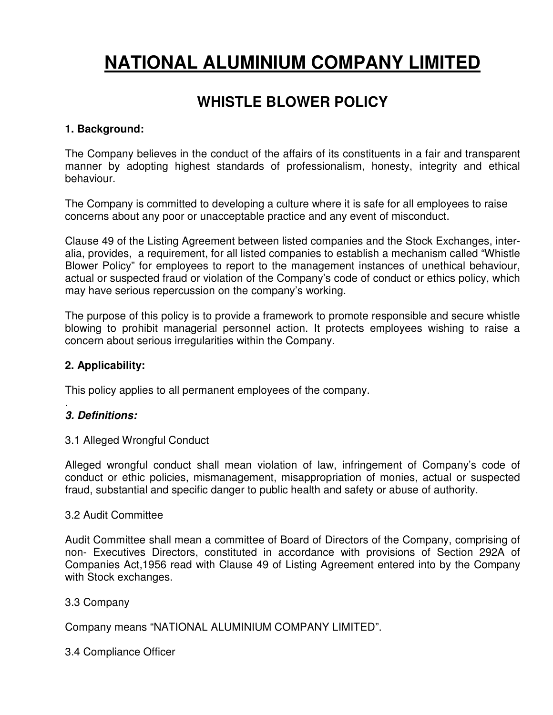# **NATIONAL ALUMINIUM COMPANY LIMITED**

# **WHISTLE BLOWER POLICY**

#### **1. Background:**

The Company believes in the conduct of the affairs of its constituents in a fair and transparent manner by adopting highest standards of professionalism, honesty, integrity and ethical behaviour.

The Company is committed to developing a culture where it is safe for all employees to raise concerns about any poor or unacceptable practice and any event of misconduct.

Clause 49 of the Listing Agreement between listed companies and the Stock Exchanges, interalia, provides, a requirement, for all listed companies to establish a mechanism called "Whistle Blower Policy" for employees to report to the management instances of unethical behaviour, actual or suspected fraud or violation of the Company's code of conduct or ethics policy, which may have serious repercussion on the company's working.

The purpose of this policy is to provide a framework to promote responsible and secure whistle blowing to prohibit managerial personnel action. It protects employees wishing to raise a concern about serious irregularities within the Company.

#### **2. Applicability:**

This policy applies to all permanent employees of the company.

#### . **3. Definitions:**

#### 3.1 Alleged Wrongful Conduct

Alleged wrongful conduct shall mean violation of law, infringement of Company's code of conduct or ethic policies, mismanagement, misappropriation of monies, actual or suspected fraud, substantial and specific danger to public health and safety or abuse of authority.

#### 3.2 Audit Committee

Audit Committee shall mean a committee of Board of Directors of the Company, comprising of non- Executives Directors, constituted in accordance with provisions of Section 292A of Companies Act,1956 read with Clause 49 of Listing Agreement entered into by the Company with Stock exchanges.

#### 3.3 Company

Company means "NATIONAL ALUMINIUM COMPANY LIMITED".

3.4 Compliance Officer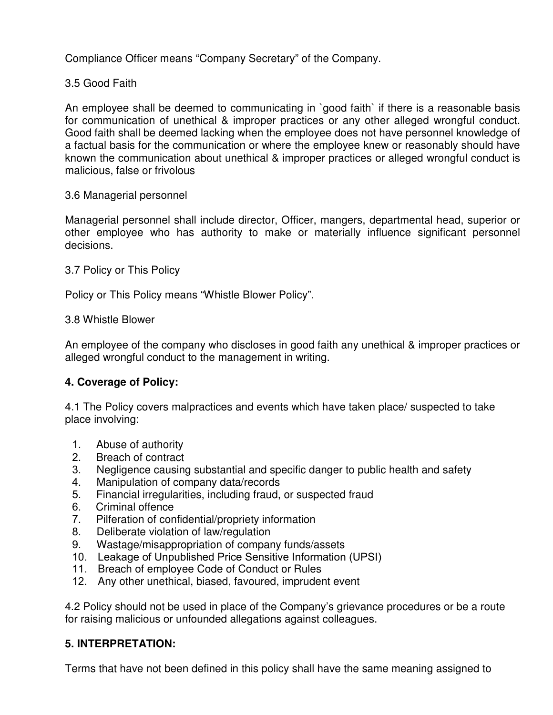Compliance Officer means "Company Secretary" of the Company.

## 3.5 Good Faith

An employee shall be deemed to communicating in `good faith` if there is a reasonable basis for communication of unethical & improper practices or any other alleged wrongful conduct. Good faith shall be deemed lacking when the employee does not have personnel knowledge of a factual basis for the communication or where the employee knew or reasonably should have known the communication about unethical & improper practices or alleged wrongful conduct is malicious, false or frivolous

#### 3.6 Managerial personnel

Managerial personnel shall include director, Officer, mangers, departmental head, superior or other employee who has authority to make or materially influence significant personnel decisions.

#### 3.7 Policy or This Policy

Policy or This Policy means "Whistle Blower Policy".

#### 3.8 Whistle Blower

An employee of the company who discloses in good faith any unethical & improper practices or alleged wrongful conduct to the management in writing.

### **4. Coverage of Policy:**

4.1 The Policy covers malpractices and events which have taken place/ suspected to take place involving:

- 1. Abuse of authority
- 2. Breach of contract
- 3. Negligence causing substantial and specific danger to public health and safety
- 4. Manipulation of company data/records
- 5. Financial irregularities, including fraud, or suspected fraud
- 6. Criminal offence
- 7. Pilferation of confidential/propriety information
- 8. Deliberate violation of law/regulation
- 9. Wastage/misappropriation of company funds/assets
- 10. Leakage of Unpublished Price Sensitive Information (UPSI)
- 11. Breach of employee Code of Conduct or Rules
- 12. Any other unethical, biased, favoured, imprudent event

4.2 Policy should not be used in place of the Company's grievance procedures or be a route for raising malicious or unfounded allegations against colleagues.

### **5. INTERPRETATION:**

Terms that have not been defined in this policy shall have the same meaning assigned to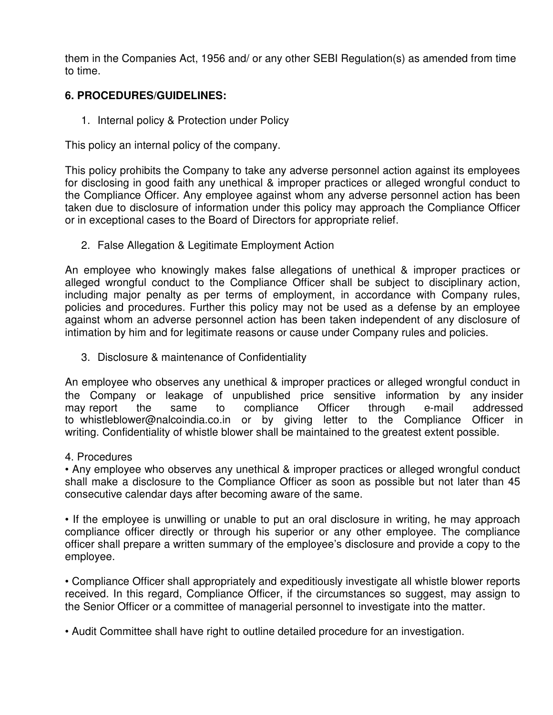them in the Companies Act, 1956 and/ or any other SEBI Regulation(s) as amended from time to time.

### **6. PROCEDURES/GUIDELINES:**

1. Internal policy & Protection under Policy

This policy an internal policy of the company.

This policy prohibits the Company to take any adverse personnel action against its employees for disclosing in good faith any unethical & improper practices or alleged wrongful conduct to the Compliance Officer. Any employee against whom any adverse personnel action has been taken due to disclosure of information under this policy may approach the Compliance Officer or in exceptional cases to the Board of Directors for appropriate relief.

2. False Allegation & Legitimate Employment Action

An employee who knowingly makes false allegations of unethical & improper practices or alleged wrongful conduct to the Compliance Officer shall be subject to disciplinary action, including major penalty as per terms of employment, in accordance with Company rules, policies and procedures. Further this policy may not be used as a defense by an employee against whom an adverse personnel action has been taken independent of any disclosure of intimation by him and for legitimate reasons or cause under Company rules and policies.

3. Disclosure & maintenance of Confidentiality

An employee who observes any unethical & improper practices or alleged wrongful conduct in the Company or leakage of unpublished price sensitive information by any insider may report the same to compliance Officer through e-mail addressed to whistleblower@nalcoindia.co.in or by giving letter to the Compliance Officer in writing. Confidentiality of whistle blower shall be maintained to the greatest extent possible.

4. Procedures

• Any employee who observes any unethical & improper practices or alleged wrongful conduct shall make a disclosure to the Compliance Officer as soon as possible but not later than 45 consecutive calendar days after becoming aware of the same.

• If the employee is unwilling or unable to put an oral disclosure in writing, he may approach compliance officer directly or through his superior or any other employee. The compliance officer shall prepare a written summary of the employee's disclosure and provide a copy to the employee.

• Compliance Officer shall appropriately and expeditiously investigate all whistle blower reports received. In this regard, Compliance Officer, if the circumstances so suggest, may assign to the Senior Officer or a committee of managerial personnel to investigate into the matter.

• Audit Committee shall have right to outline detailed procedure for an investigation.